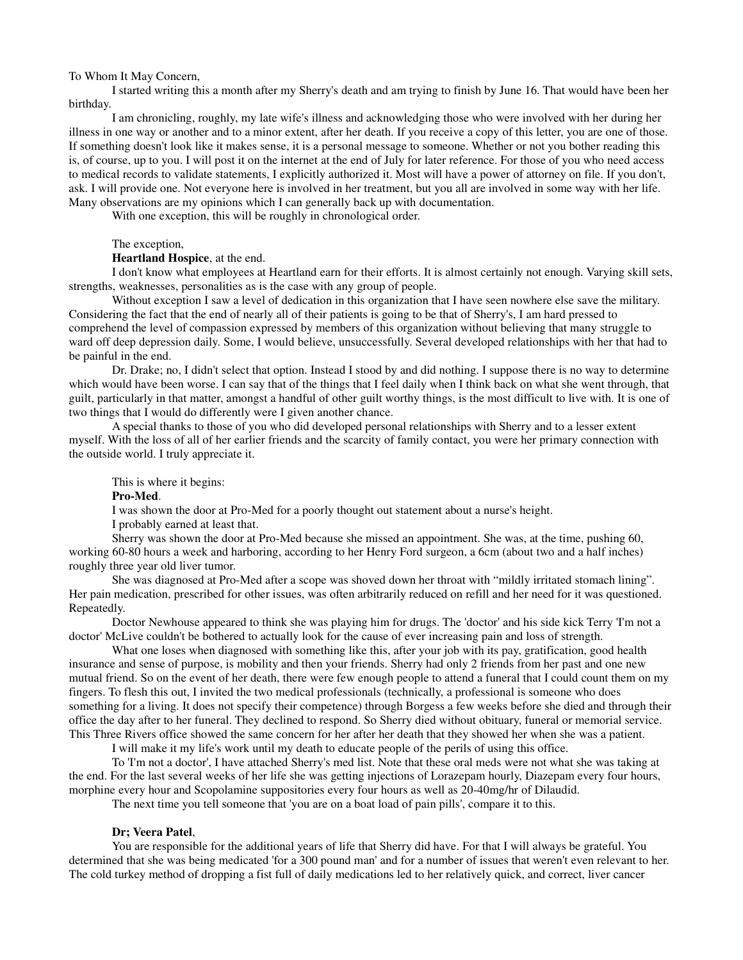#### To Whom It May Concern,

I started writing this a month after my Sherry's death and am trying to finish by June 16. That would have been her birthday.

I am chronicling, roughly, my late wife's illness and acknowledging those who were involved with her during her illness in one way or another and to a minor extent, after her death. If you receive a copy of this letter, you are one of those. If something doesn't look like it makes sense, it is a personal message to someone. Whether or not you bother reading this is, of course, up to you. I will post it on the internet at the end of July for later reference. For those of you who need access to medical records to validate statements, I explicitly authorized it. Most will have a power of attorney on file. If you don't, ask. I will provide one. Not everyone here is involved in her treatment, but you all are involved in some way with her life. Many observations are my opinions which I can generally back up with documentation.

With one exception, this will be roughly in chronological order.

# The exception,

## **Heartland Hospice**, at the end.

I don't know what employees at Heartland earn for their efforts. It is almost certainly not enough. Varying skill sets, strengths, weaknesses, personalities as is the case with any group of people.

Without exception I saw a level of dedication in this organization that I have seen nowhere else save the military. Considering the fact that the end of nearly all of their patients is going to be that of Sherry's, I am hard pressed to comprehend the level of compassion expressed by members of this organization without believing that many struggle to ward off deep depression daily. Some, I would believe, unsuccessfully. Several developed relationships with her that had to be painful in the end.

Dr. Drake; no, I didn't select that option. Instead I stood by and did nothing. I suppose there is no way to determine which would have been worse. I can say that of the things that I feel daily when I think back on what she went through, that guilt, particularly in that matter, amongst a handful of other guilt worthy things, is the most difficult to live with. It is one of two things that I would do differently were I given another chance.

A special thanks to those of you who did developed personal relationships with Sherry and to a lesser extent myself. With the loss of all of her earlier friends and the scarcity of family contact, you were her primary connection with the outside world. I truly appreciate it.

#### This is where it begins:

## **Pro-Med**.

I was shown the door at Pro-Med for a poorly thought out statement about a nurse's height.

I probably earned at least that.

Sherry was shown the door at Pro-Med because she missed an appointment. She was, at the time, pushing 60, working 60-80 hours a week and harboring, according to her Henry Ford surgeon, a 6cm (about two and a half inches) roughly three year old liver tumor.

She was diagnosed at Pro-Med after a scope was shoved down her throat with "mildly irritated stomach lining". Her pain medication, prescribed for other issues, was often arbitrarily reduced on refill and her need for it was questioned. Repeatedly.

Doctor Newhouse appeared to think she was playing him for drugs. The 'doctor' and his side kick Terry 'I'm not a doctor' McLive couldn't be bothered to actually look for the cause of ever increasing pain and loss of strength.

What one loses when diagnosed with something like this, after your job with its pay, gratification, good health insurance and sense of purpose, is mobility and then your friends. Sherry had only 2 friends from her past and one new mutual friend. So on the event of her death, there were few enough people to attend a funeral that I could count them on my fingers. To flesh this out, I invited the two medical professionals (technically, a professional is someone who does something for a living. It does not specify their competence) through Borgess a few weeks before she died and through their office the day after to her funeral. They declined to respond. So Sherry died without obituary, funeral or memorial service. This Three Rivers office showed the same concern for her after her death that they showed her when she was a patient.

I will make it my life's work until my death to educate people of the perils of using this office.

To 'I'm not a doctor', I have attached Sherry's med list. Note that these oral meds were not what she was taking at the end. For the last several weeks of her life she was getting injections of Lorazepam hourly, Diazepam every four hours, morphine every hour and Scopolamine suppositories every four hours as well as 20-40mg/hr of Dilaudid.

The next time you tell someone that 'you are on a boat load of pain pills', compare it to this.

#### **Dr; Veera Patel**,

You are responsible for the additional years of life that Sherry did have. For that I will always be grateful. You determined that she was being medicated 'for a 300 pound man' and for a number of issues that weren't even relevant to her. The cold turkey method of dropping a fist full of daily medications led to her relatively quick, and correct, liver cancer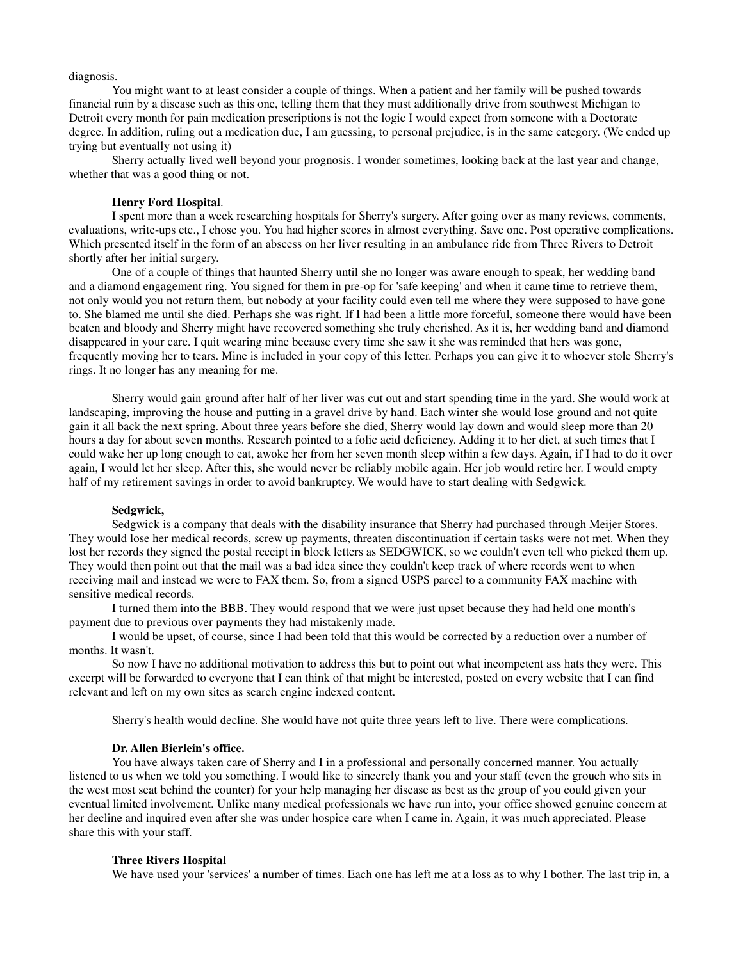diagnosis.

You might want to at least consider a couple of things. When a patient and her family will be pushed towards financial ruin by a disease such as this one, telling them that they must additionally drive from southwest Michigan to Detroit every month for pain medication prescriptions is not the logic I would expect from someone with a Doctorate degree. In addition, ruling out a medication due, I am guessing, to personal prejudice, is in the same category. (We ended up trying but eventually not using it)

Sherry actually lived well beyond your prognosis. I wonder sometimes, looking back at the last year and change, whether that was a good thing or not.

# **Henry Ford Hospital**.

I spent more than a week researching hospitals for Sherry's surgery. After going over as many reviews, comments, evaluations, write-ups etc., I chose you. You had higher scores in almost everything. Save one. Post operative complications. Which presented itself in the form of an abscess on her liver resulting in an ambulance ride from Three Rivers to Detroit shortly after her initial surgery.

One of a couple of things that haunted Sherry until she no longer was aware enough to speak, her wedding band and a diamond engagement ring. You signed for them in pre-op for 'safe keeping' and when it came time to retrieve them, not only would you not return them, but nobody at your facility could even tell me where they were supposed to have gone to. She blamed me until she died. Perhaps she was right. If I had been a little more forceful, someone there would have been beaten and bloody and Sherry might have recovered something she truly cherished. As it is, her wedding band and diamond disappeared in your care. I quit wearing mine because every time she saw it she was reminded that hers was gone, frequently moving her to tears. Mine is included in your copy of this letter. Perhaps you can give it to whoever stole Sherry's rings. It no longer has any meaning for me.

Sherry would gain ground after half of her liver was cut out and start spending time in the yard. She would work at landscaping, improving the house and putting in a gravel drive by hand. Each winter she would lose ground and not quite gain it all back the next spring. About three years before she died, Sherry would lay down and would sleep more than 20 hours a day for about seven months. Research pointed to a folic acid deficiency. Adding it to her diet, at such times that I could wake her up long enough to eat, awoke her from her seven month sleep within a few days. Again, if I had to do it over again, I would let her sleep. After this, she would never be reliably mobile again. Her job would retire her. I would empty half of my retirement savings in order to avoid bankruptcy. We would have to start dealing with Sedgwick.

# **Sedgwick,**

Sedgwick is a company that deals with the disability insurance that Sherry had purchased through Meijer Stores. They would lose her medical records, screw up payments, threaten discontinuation if certain tasks were not met. When they lost her records they signed the postal receipt in block letters as SEDGWICK, so we couldn't even tell who picked them up. They would then point out that the mail was a bad idea since they couldn't keep track of where records went to when receiving mail and instead we were to FAX them. So, from a signed USPS parcel to a community FAX machine with sensitive medical records.

I turned them into the BBB. They would respond that we were just upset because they had held one month's payment due to previous over payments they had mistakenly made.

I would be upset, of course, since I had been told that this would be corrected by a reduction over a number of months. It wasn't.

So now I have no additional motivation to address this but to point out what incompetent ass hats they were. This excerpt will be forwarded to everyone that I can think of that might be interested, posted on every website that I can find relevant and left on my own sites as search engine indexed content.

Sherry's health would decline. She would have not quite three years left to live. There were complications.

### **Dr. Allen Bierlein's office.**

You have always taken care of Sherry and I in a professional and personally concerned manner. You actually listened to us when we told you something. I would like to sincerely thank you and your staff (even the grouch who sits in the west most seat behind the counter) for your help managing her disease as best as the group of you could given your eventual limited involvement. Unlike many medical professionals we have run into, your office showed genuine concern at her decline and inquired even after she was under hospice care when I came in. Again, it was much appreciated. Please share this with your staff.

## **Three Rivers Hospital**

We have used your 'services' a number of times. Each one has left me at a loss as to why I bother. The last trip in, a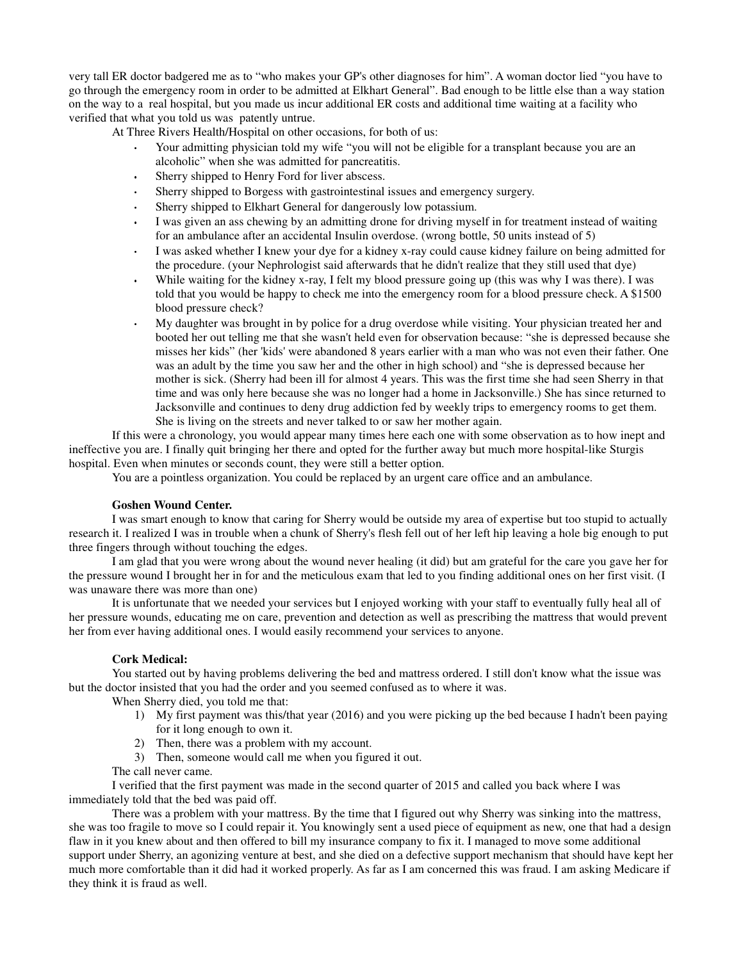very tall ER doctor badgered me as to "who makes your GP's other diagnoses for him". A woman doctor lied "you have to go through the emergency room in order to be admitted at Elkhart General". Bad enough to be little else than a way station on the way to a real hospital, but you made us incur additional ER costs and additional time waiting at a facility who verified that what you told us was patently untrue.

At Three Rivers Health/Hospital on other occasions, for both of us:

- Your admitting physician told my wife "you will not be eligible for a transplant because you are an alcoholic" when she was admitted for pancreatitis.
- Sherry shipped to Henry Ford for liver abscess.
- Sherry shipped to Borgess with gastrointestinal issues and emergency surgery.
- Sherry shipped to Elkhart General for dangerously low potassium.
- I was given an ass chewing by an admitting drone for driving myself in for treatment instead of waiting for an ambulance after an accidental Insulin overdose. (wrong bottle, 50 units instead of 5)
- I was asked whether I knew your dye for a kidney x-ray could cause kidney failure on being admitted for the procedure. (your Nephrologist said afterwards that he didn't realize that they still used that dye)
- While waiting for the kidney x-ray, I felt my blood pressure going up (this was why I was there). I was told that you would be happy to check me into the emergency room for a blood pressure check. A \$1500 blood pressure check?
- My daughter was brought in by police for a drug overdose while visiting. Your physician treated her and booted her out telling me that she wasn't held even for observation because: "she is depressed because she misses her kids" (her 'kids' were abandoned 8 years earlier with a man who was not even their father. One was an adult by the time you saw her and the other in high school) and "she is depressed because her mother is sick. (Sherry had been ill for almost 4 years. This was the first time she had seen Sherry in that time and was only here because she was no longer had a home in Jacksonville.) She has since returned to Jacksonville and continues to deny drug addiction fed by weekly trips to emergency rooms to get them. She is living on the streets and never talked to or saw her mother again.

If this were a chronology, you would appear many times here each one with some observation as to how inept and ineffective you are. I finally quit bringing her there and opted for the further away but much more hospital-like Sturgis hospital. Even when minutes or seconds count, they were still a better option.

You are a pointless organization. You could be replaced by an urgent care office and an ambulance.

# **Goshen Wound Center.**

I was smart enough to know that caring for Sherry would be outside my area of expertise but too stupid to actually research it. I realized I was in trouble when a chunk of Sherry's flesh fell out of her left hip leaving a hole big enough to put three fingers through without touching the edges.

I am glad that you were wrong about the wound never healing (it did) but am grateful for the care you gave her for the pressure wound I brought her in for and the meticulous exam that led to you finding additional ones on her first visit. (I was unaware there was more than one)

It is unfortunate that we needed your services but I enjoyed working with your staff to eventually fully heal all of her pressure wounds, educating me on care, prevention and detection as well as prescribing the mattress that would prevent her from ever having additional ones. I would easily recommend your services to anyone.

# **Cork Medical:**

You started out by having problems delivering the bed and mattress ordered. I still don't know what the issue was but the doctor insisted that you had the order and you seemed confused as to where it was.

When Sherry died, you told me that:

- 1) My first payment was this/that year (2016) and you were picking up the bed because I hadn't been paying for it long enough to own it.
- 2) Then, there was a problem with my account.
- 3) Then, someone would call me when you figured it out.
- The call never came.

I verified that the first payment was made in the second quarter of 2015 and called you back where I was immediately told that the bed was paid off.

There was a problem with your mattress. By the time that I figured out why Sherry was sinking into the mattress, she was too fragile to move so I could repair it. You knowingly sent a used piece of equipment as new, one that had a design flaw in it you knew about and then offered to bill my insurance company to fix it. I managed to move some additional support under Sherry, an agonizing venture at best, and she died on a defective support mechanism that should have kept her much more comfortable than it did had it worked properly. As far as I am concerned this was fraud. I am asking Medicare if they think it is fraud as well.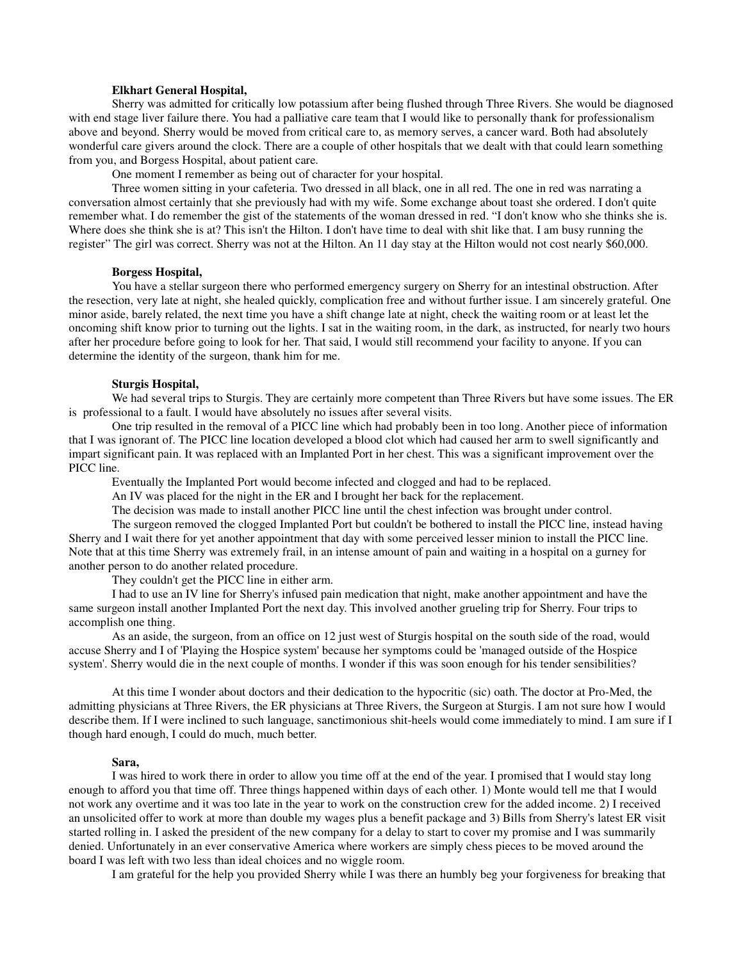### **Elkhart General Hospital,**

Sherry was admitted for critically low potassium after being flushed through Three Rivers. She would be diagnosed with end stage liver failure there. You had a palliative care team that I would like to personally thank for professionalism above and beyond. Sherry would be moved from critical care to, as memory serves, a cancer ward. Both had absolutely wonderful care givers around the clock. There are a couple of other hospitals that we dealt with that could learn something from you, and Borgess Hospital, about patient care.

One moment I remember as being out of character for your hospital.

Three women sitting in your cafeteria. Two dressed in all black, one in all red. The one in red was narrating a conversation almost certainly that she previously had with my wife. Some exchange about toast she ordered. I don't quite remember what. I do remember the gist of the statements of the woman dressed in red. "I don't know who she thinks she is. Where does she think she is at? This isn't the Hilton. I don't have time to deal with shit like that. I am busy running the register" The girl was correct. Sherry was not at the Hilton. An 11 day stay at the Hilton would not cost nearly \$60,000.

# **Borgess Hospital,**

You have a stellar surgeon there who performed emergency surgery on Sherry for an intestinal obstruction. After the resection, very late at night, she healed quickly, complication free and without further issue. I am sincerely grateful. One minor aside, barely related, the next time you have a shift change late at night, check the waiting room or at least let the oncoming shift know prior to turning out the lights. I sat in the waiting room, in the dark, as instructed, for nearly two hours after her procedure before going to look for her. That said, I would still recommend your facility to anyone. If you can determine the identity of the surgeon, thank him for me.

#### **Sturgis Hospital,**

We had several trips to Sturgis. They are certainly more competent than Three Rivers but have some issues. The ER is professional to a fault. I would have absolutely no issues after several visits.

One trip resulted in the removal of a PICC line which had probably been in too long. Another piece of information that I was ignorant of. The PICC line location developed a blood clot which had caused her arm to swell significantly and impart significant pain. It was replaced with an Implanted Port in her chest. This was a significant improvement over the PICC line.

Eventually the Implanted Port would become infected and clogged and had to be replaced.

An IV was placed for the night in the ER and I brought her back for the replacement.

The decision was made to install another PICC line until the chest infection was brought under control.

The surgeon removed the clogged Implanted Port but couldn't be bothered to install the PICC line, instead having Sherry and I wait there for yet another appointment that day with some perceived lesser minion to install the PICC line. Note that at this time Sherry was extremely frail, in an intense amount of pain and waiting in a hospital on a gurney for another person to do another related procedure.

They couldn't get the PICC line in either arm.

I had to use an IV line for Sherry's infused pain medication that night, make another appointment and have the same surgeon install another Implanted Port the next day. This involved another grueling trip for Sherry. Four trips to accomplish one thing.

As an aside, the surgeon, from an office on 12 just west of Sturgis hospital on the south side of the road, would accuse Sherry and I of 'Playing the Hospice system' because her symptoms could be 'managed outside of the Hospice system'. Sherry would die in the next couple of months. I wonder if this was soon enough for his tender sensibilities?

At this time I wonder about doctors and their dedication to the hypocritic (sic) oath. The doctor at Pro-Med, the admitting physicians at Three Rivers, the ER physicians at Three Rivers, the Surgeon at Sturgis. I am not sure how I would describe them. If I were inclined to such language, sanctimonious shit-heels would come immediately to mind. I am sure if I though hard enough, I could do much, much better.

#### **Sara,**

I was hired to work there in order to allow you time off at the end of the year. I promised that I would stay long enough to afford you that time off. Three things happened within days of each other. 1) Monte would tell me that I would not work any overtime and it was too late in the year to work on the construction crew for the added income. 2) I received an unsolicited offer to work at more than double my wages plus a benefit package and 3) Bills from Sherry's latest ER visit started rolling in. I asked the president of the new company for a delay to start to cover my promise and I was summarily denied. Unfortunately in an ever conservative America where workers are simply chess pieces to be moved around the board I was left with two less than ideal choices and no wiggle room.

I am grateful for the help you provided Sherry while I was there an humbly beg your forgiveness for breaking that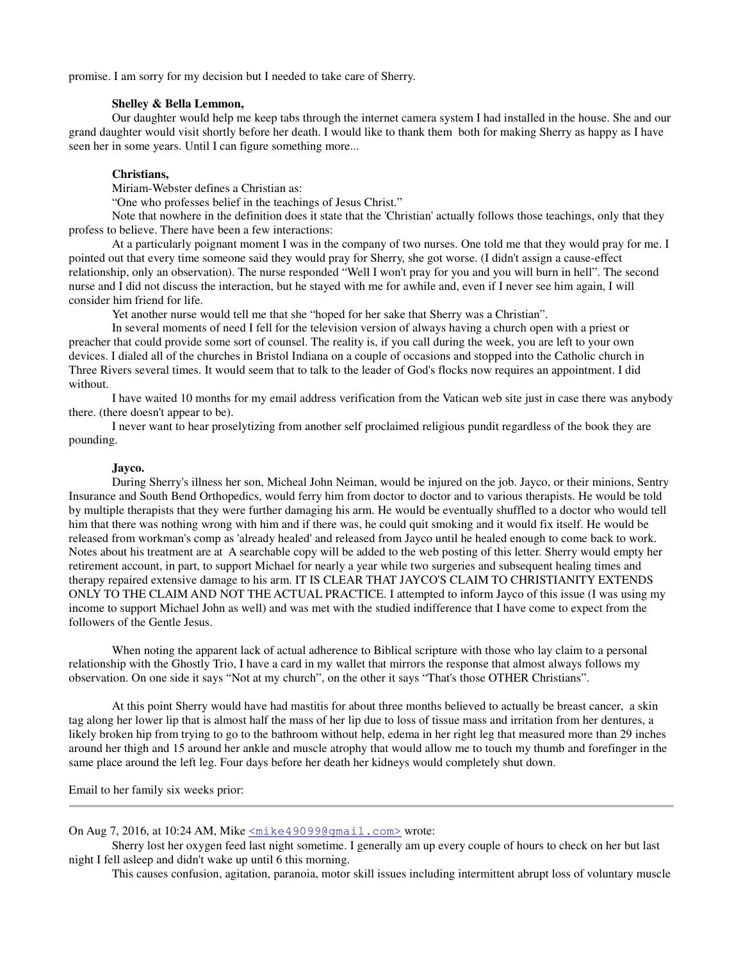promise. I am sorry for my decision but I needed to take care of Sherry.

#### **Shelley & Bella Lemmon,**

Our daughter would help me keep tabs through the internet camera system I had installed in the house. She and our grand daughter would visit shortly before her death. I would like to thank them both for making Sherry as happy as I have seen her in some years. Until I can figure something more...

# **Christians,**

Miriam-Webster defines a Christian as:

"One who professes belief in the teachings of Jesus Christ."

Note that nowhere in the definition does it state that the 'Christian' actually follows those teachings, only that they profess to believe. There have been a few interactions:

At a particularly poignant moment I was in the company of two nurses. One told me that they would pray for me. I pointed out that every time someone said they would pray for Sherry, she got worse. (I didn't assign a cause-effect relationship, only an observation). The nurse responded "Well I won't pray for you and you will burn in hell". The second nurse and I did not discuss the interaction, but he stayed with me for awhile and, even if I never see him again, I will consider him friend for life.

Yet another nurse would tell me that she "hoped for her sake that Sherry was a Christian".

In several moments of need I fell for the television version of always having a church open with a priest or preacher that could provide some sort of counsel. The reality is, if you call during the week, you are left to your own devices. I dialed all of the churches in Bristol Indiana on a couple of occasions and stopped into the Catholic church in Three Rivers several times. It would seem that to talk to the leader of God's flocks now requires an appointment. I did without.

I have waited 10 months for my email address verification from the Vatican web site just in case there was anybody there. (there doesn't appear to be).

I never want to hear proselytizing from another self proclaimed religious pundit regardless of the book they are pounding.

# **Jayco.**

During Sherry's illness her son, Micheal John Neiman, would be injured on the job. Jayco, or their minions, Sentry Insurance and South Bend Orthopedics, would ferry him from doctor to doctor and to various therapists. He would be told by multiple therapists that they were further damaging his arm. He would be eventually shuffled to a doctor who would tell him that there was nothing wrong with him and if there was, he could quit smoking and it would fix itself. He would be released from workman's comp as 'already healed' and released from Jayco until he healed enough to come back to work. Notes about his treatment are at A searchable copy will be added to the web posting of this letter. Sherry would empty her retirement account, in part, to support Michael for nearly a year while two surgeries and subsequent healing times and therapy repaired extensive damage to his arm. IT IS CLEAR THAT JAYCO'S CLAIM TO CHRISTIANITY EXTENDS ONLY TO THE CLAIM AND NOT THE ACTUAL PRACTICE. I attempted to inform Jayco of this issue (I was using my income to support Michael John as well) and was met with the studied indifference that I have come to expect from the followers of the Gentle Jesus.

When noting the apparent lack of actual adherence to Biblical scripture with those who lay claim to a personal relationship with the Ghostly Trio, I have a card in my wallet that mirrors the response that almost always follows my observation. On one side it says "Not at my church", on the other it says "That's those OTHER Christians".

At this point Sherry would have had mastitis for about three months believed to actually be breast cancer, a skin tag along her lower lip that is almost half the mass of her lip due to loss of tissue mass and irritation from her dentures, a likely broken hip from trying to go to the bathroom without help, edema in her right leg that measured more than 29 inches around her thigh and 15 around her ankle and muscle atrophy that would allow me to touch my thumb and forefinger in the same place around the left leg. Four days before her death her kidneys would completely shut down.

Email to her family six weeks prior:

On Aug 7, 2016, at 10:24 AM, Mike <mike49099@gmail.com> wrote:

Sherry lost her oxygen feed last night sometime. I generally am up every couple of hours to check on her but last night I fell asleep and didn't wake up until 6 this morning.

This causes confusion, agitation, paranoia, motor skill issues including intermittent abrupt loss of voluntary muscle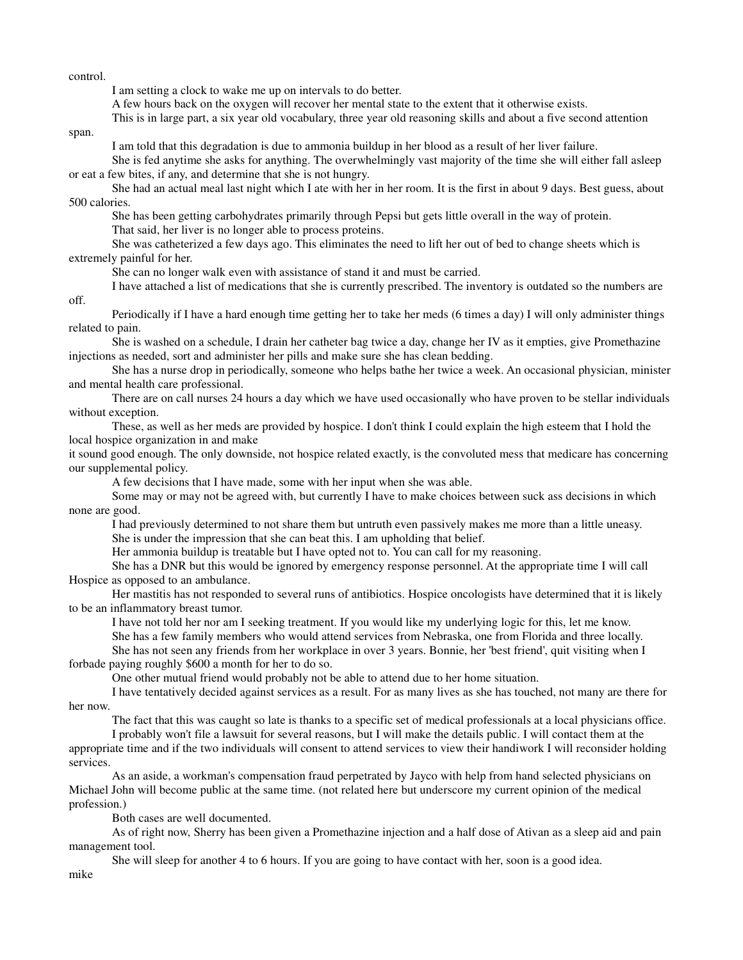control.

I am setting a clock to wake me up on intervals to do better.

A few hours back on the oxygen will recover her mental state to the extent that it otherwise exists.

This is in large part, a six year old vocabulary, three year old reasoning skills and about a five second attention

span.

off.

I am told that this degradation is due to ammonia buildup in her blood as a result of her liver failure.

She is fed anytime she asks for anything. The overwhelmingly vast majority of the time she will either fall asleep or eat a few bites, if any, and determine that she is not hungry.

She had an actual meal last night which I ate with her in her room. It is the first in about 9 days. Best guess, about 500 calories.

She has been getting carbohydrates primarily through Pepsi but gets little overall in the way of protein. That said, her liver is no longer able to process proteins.

She was catheterized a few days ago. This eliminates the need to lift her out of bed to change sheets which is extremely painful for her.

She can no longer walk even with assistance of stand it and must be carried.

I have attached a list of medications that she is currently prescribed. The inventory is outdated so the numbers are

Periodically if I have a hard enough time getting her to take her meds (6 times a day) I will only administer things related to pain.

She is washed on a schedule, I drain her catheter bag twice a day, change her IV as it empties, give Promethazine injections as needed, sort and administer her pills and make sure she has clean bedding.

She has a nurse drop in periodically, someone who helps bathe her twice a week. An occasional physician, minister and mental health care professional.

There are on call nurses 24 hours a day which we have used occasionally who have proven to be stellar individuals without exception.

These, as well as her meds are provided by hospice. I don't think I could explain the high esteem that I hold the local hospice organization in and make

it sound good enough. The only downside, not hospice related exactly, is the convoluted mess that medicare has concerning our supplemental policy.

A few decisions that I have made, some with her input when she was able.

Some may or may not be agreed with, but currently I have to make choices between suck ass decisions in which none are good.

I had previously determined to not share them but untruth even passively makes me more than a little uneasy. She is under the impression that she can beat this. I am upholding that belief.

Her ammonia buildup is treatable but I have opted not to. You can call for my reasoning.

She has a DNR but this would be ignored by emergency response personnel. At the appropriate time I will call Hospice as opposed to an ambulance.

Her mastitis has not responded to several runs of antibiotics. Hospice oncologists have determined that it is likely to be an inflammatory breast tumor.

I have not told her nor am I seeking treatment. If you would like my underlying logic for this, let me know.

She has a few family members who would attend services from Nebraska, one from Florida and three locally.

She has not seen any friends from her workplace in over 3 years. Bonnie, her 'best friend', quit visiting when I forbade paying roughly \$600 a month for her to do so.

One other mutual friend would probably not be able to attend due to her home situation.

I have tentatively decided against services as a result. For as many lives as she has touched, not many are there for her now.

The fact that this was caught so late is thanks to a specific set of medical professionals at a local physicians office.

I probably won't file a lawsuit for several reasons, but I will make the details public. I will contact them at the appropriate time and if the two individuals will consent to attend services to view their handiwork I will reconsider holding services.

As an aside, a workman's compensation fraud perpetrated by Jayco with help from hand selected physicians on Michael John will become public at the same time. (not related here but underscore my current opinion of the medical profession.)

Both cases are well documented.

As of right now, Sherry has been given a Promethazine injection and a half dose of Ativan as a sleep aid and pain management tool.

She will sleep for another 4 to 6 hours. If you are going to have contact with her, soon is a good idea.

mike